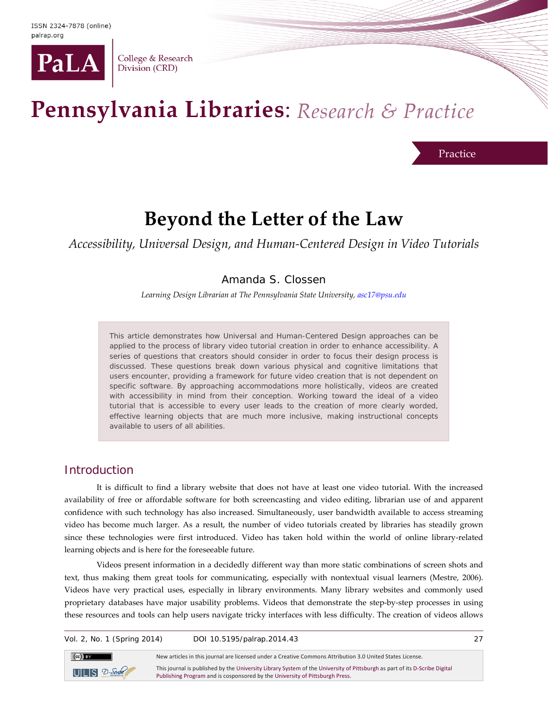

College & Research Division (CRD)

# Pennsylvania Libraries: Research & Practice

Practice

## **Beyond the Letter of the Law**

*Accessibility, Universal Design, and Human-Centered Design in Video Tutorials*

Amanda S. Clossen

*Learning Design Librarian at The Pennsylvania State University[, asc17@psu.edu](mailto:asc17@psu.edu)*

This article demonstrates how Universal and Human-Centered Design approaches can be applied to the process of library video tutorial creation in order to enhance accessibility. A series of questions that creators should consider in order to focus their design process is discussed. These questions break down various physical and cognitive limitations that users encounter, providing a framework for future video creation that is not dependent on specific software. By approaching accommodations more holistically, videos are created with accessibility in mind from their conception. Working toward the ideal of a video tutorial that is accessible to every user leads to the creation of more clearly worded, effective learning objects that are much more inclusive, making instructional concepts available to users of all abilities.

## Introduction

It is difficult to find a library website that does not have at least one video tutorial. With the increased availability of free or affordable software for both screencasting and video editing, librarian use of and apparent confidence with such technology has also increased. Simultaneously, user bandwidth available to access streaming video has become much larger. As a result, the number of video tutorials created by libraries has steadily grown since these technologies were first introduced. Video has taken hold within the world of online library-related learning objects and is here for the foreseeable future.

Videos present information in a decidedly different way than more static combinations of screen shots and text, thus making them great tools for communicating, especially with nontextual visual learners (Mestre, 2006). Videos have very practical uses, especially in library environments. Many library websites and commonly used proprietary databases have major usability problems. Videos that demonstrate the step-by-step processes in using these resources and tools can help users navigate tricky interfaces with less difficulty. The creation of videos allows

Vol. 2, No. 1 (Spring 2014) DOI 10.5195/palrap.2014.43 27



New articles in this journal are licensed under a Creative Commons Attribution 3.0 United States License.

This journal is published by th[e University Library System](http://www.library.pitt.edu/) of th[e University of Pittsburgh](http://www.pitt.edu/) as part of it[s D-Scribe Digital](http://www.library.pitt.edu/articles/digpubtype/index.html)  [Publishing Program](http://www.library.pitt.edu/articles/digpubtype/index.html) and is cosponsored by th[e University of Pittsburgh Press.](http://upress.pitt.edu/)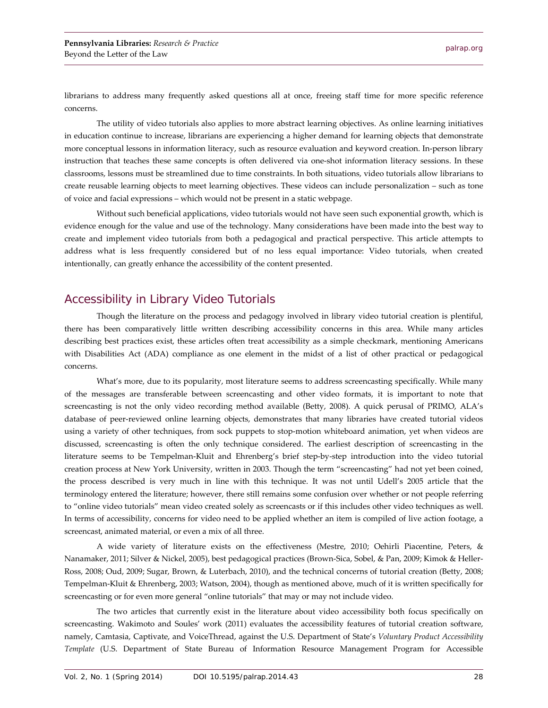librarians to address many frequently asked questions all at once, freeing staff time for more specific reference concerns.

The utility of video tutorials also applies to more abstract learning objectives. As online learning initiatives in education continue to increase, librarians are experiencing a higher demand for learning objects that demonstrate more conceptual lessons in information literacy, such as resource evaluation and keyword creation. In-person library instruction that teaches these same concepts is often delivered via one-shot information literacy sessions. In these classrooms, lessons must be streamlined due to time constraints. In both situations, video tutorials allow librarians to create reusable learning objects to meet learning objectives. These videos can include personalization – such as tone of voice and facial expressions – which would not be present in a static webpage.

Without such beneficial applications, video tutorials would not have seen such exponential growth, which is evidence enough for the value and use of the technology. Many considerations have been made into the best way to create and implement video tutorials from both a pedagogical and practical perspective. This article attempts to address what is less frequently considered but of no less equal importance: Video tutorials, when created intentionally, can greatly enhance the accessibility of the content presented.

## Accessibility in Library Video Tutorials

Though the literature on the process and pedagogy involved in library video tutorial creation is plentiful, there has been comparatively little written describing accessibility concerns in this area. While many articles describing best practices exist, these articles often treat accessibility as a simple checkmark, mentioning Americans with Disabilities Act (ADA) compliance as one element in the midst of a list of other practical or pedagogical concerns.

What's more, due to its popularity, most literature seems to address screencasting specifically. While many of the messages are transferable between screencasting and other video formats, it is important to note that screencasting is not the only video recording method available (Betty, 2008). A quick perusal of PRIMO, ALA's database of peer-reviewed online learning objects, demonstrates that many libraries have created tutorial videos using a variety of other techniques, from sock puppets to stop-motion whiteboard animation, yet when videos are discussed, screencasting is often the only technique considered. The earliest description of screencasting in the literature seems to be Tempelman-Kluit and Ehrenberg's brief step-by-step introduction into the video tutorial creation process at New York University, written in 2003. Though the term "screencasting" had not yet been coined, the process described is very much in line with this technique. It was not until Udell's 2005 article that the terminology entered the literature; however, there still remains some confusion over whether or not people referring to "online video tutorials" mean video created solely as screencasts or if this includes other video techniques as well. In terms of accessibility, concerns for video need to be applied whether an item is compiled of live action footage, a screencast, animated material, or even a mix of all three.

A wide variety of literature exists on the effectiveness (Mestre, 2010; Oehirli Piacentine, Peters, & Nanamaker, 2011; Silver & Nickel, 2005), best pedagogical practices (Brown-Sica, Sobel, & Pan, 2009; Kimok & Heller-Ross, 2008; Oud, 2009; Sugar, Brown, & Luterbach, 2010), and the technical concerns of tutorial creation (Betty, 2008; Tempelman-Kluit & Ehrenberg, 2003; Watson, 2004), though as mentioned above, much of it is written specifically for screencasting or for even more general "online tutorials" that may or may not include video.

The two articles that currently exist in the literature about video accessibility both focus specifically on screencasting. Wakimoto and Soules' work (2011) evaluates the accessibility features of tutorial creation software, namely, Camtasia, Captivate, and VoiceThread, against the U.S. Department of State's *Voluntary Product Accessibility Template* (U.S. Department of State Bureau of Information Resource Management Program for Accessible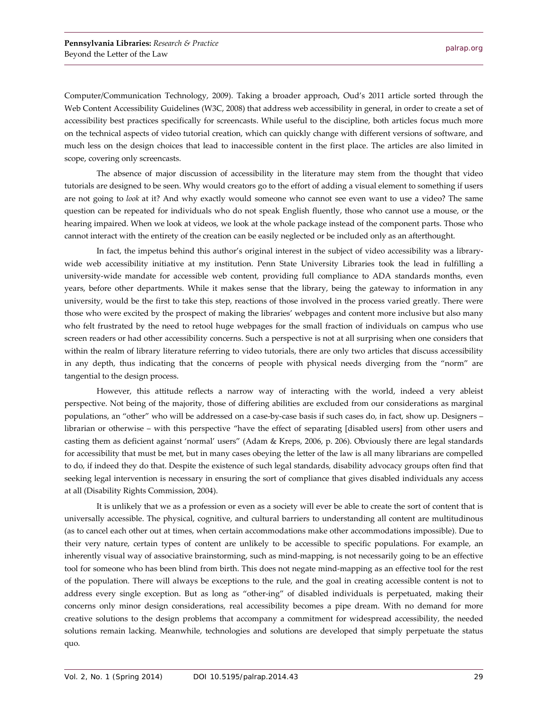Computer/Communication Technology, 2009). Taking a broader approach, Oud's 2011 article sorted through the Web Content Accessibility Guidelines (W3C, 2008) that address web accessibility in general, in order to create a set of accessibility best practices specifically for screencasts. While useful to the discipline, both articles focus much more on the technical aspects of video tutorial creation, which can quickly change with different versions of software, and much less on the design choices that lead to inaccessible content in the first place. The articles are also limited in scope, covering only screencasts.

The absence of major discussion of accessibility in the literature may stem from the thought that video tutorials are designed to be seen. Why would creators go to the effort of adding a visual element to something if users are not going to *look* at it? And why exactly would someone who cannot see even want to use a video? The same question can be repeated for individuals who do not speak English fluently, those who cannot use a mouse, or the hearing impaired. When we look at videos, we look at the whole package instead of the component parts. Those who cannot interact with the entirety of the creation can be easily neglected or be included only as an afterthought.

In fact, the impetus behind this author's original interest in the subject of video accessibility was a librarywide web accessibility initiative at my institution. Penn State University Libraries took the lead in fulfilling a university-wide mandate for accessible web content, providing full compliance to ADA standards months, even years, before other departments. While it makes sense that the library, being the gateway to information in any university, would be the first to take this step, reactions of those involved in the process varied greatly. There were those who were excited by the prospect of making the libraries' webpages and content more inclusive but also many who felt frustrated by the need to retool huge webpages for the small fraction of individuals on campus who use screen readers or had other accessibility concerns. Such a perspective is not at all surprising when one considers that within the realm of library literature referring to video tutorials, there are only two articles that discuss accessibility in any depth, thus indicating that the concerns of people with physical needs diverging from the "norm" are tangential to the design process.

However, this attitude reflects a narrow way of interacting with the world, indeed a very ableist perspective. Not being of the majority, those of differing abilities are excluded from our considerations as marginal populations, an "other" who will be addressed on a case-by-case basis if such cases do, in fact, show up. Designers – librarian or otherwise – with this perspective "have the effect of separating [disabled users] from other users and casting them as deficient against 'normal' users" (Adam & Kreps, 2006, p. 206). Obviously there are legal standards for accessibility that must be met, but in many cases obeying the letter of the law is all many librarians are compelled to do, if indeed they do that. Despite the existence of such legal standards, disability advocacy groups often find that seeking legal intervention is necessary in ensuring the sort of compliance that gives disabled individuals any access at all (Disability Rights Commission, 2004).

It is unlikely that we as a profession or even as a society will ever be able to create the sort of content that is universally accessible. The physical, cognitive, and cultural barriers to understanding all content are multitudinous (as to cancel each other out at times, when certain accommodations make other accommodations impossible). Due to their very nature, certain types of content are unlikely to be accessible to specific populations. For example, an inherently visual way of associative brainstorming, such as mind-mapping, is not necessarily going to be an effective tool for someone who has been blind from birth. This does not negate mind-mapping as an effective tool for the rest of the population. There will always be exceptions to the rule, and the goal in creating accessible content is not to address every single exception. But as long as "other-ing" of disabled individuals is perpetuated, making their concerns only minor design considerations, real accessibility becomes a pipe dream. With no demand for more creative solutions to the design problems that accompany a commitment for widespread accessibility, the needed solutions remain lacking. Meanwhile, technologies and solutions are developed that simply perpetuate the status quo.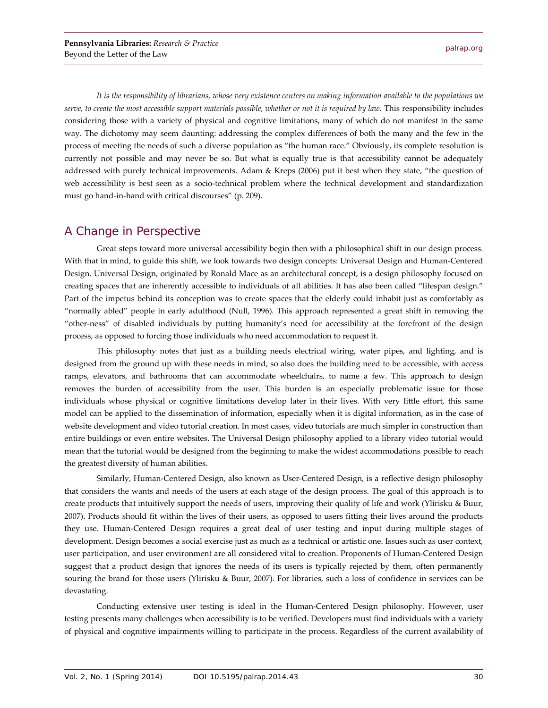*It is the responsibility of librarians, whose very existence centers on making information available to the populations we serve, to create the most accessible support materials possible, whether or not it is required by law.* This responsibility includes considering those with a variety of physical and cognitive limitations, many of which do not manifest in the same way. The dichotomy may seem daunting: addressing the complex differences of both the many and the few in the process of meeting the needs of such a diverse population as "the human race." Obviously, its complete resolution is currently not possible and may never be so. But what is equally true is that accessibility cannot be adequately addressed with purely technical improvements. Adam & Kreps (2006) put it best when they state, "the question of web accessibility is best seen as a socio-technical problem where the technical development and standardization must go hand-in-hand with critical discourses" (p. 209).

## A Change in Perspective

Great steps toward more universal accessibility begin then with a philosophical shift in our design process. With that in mind, to guide this shift, we look towards two design concepts: Universal Design and Human-Centered Design. Universal Design, originated by Ronald Mace as an architectural concept, is a design philosophy focused on creating spaces that are inherently accessible to individuals of all abilities. It has also been called "lifespan design." Part of the impetus behind its conception was to create spaces that the elderly could inhabit just as comfortably as "normally abled" people in early adulthood (Null, 1996). This approach represented a great shift in removing the "other-ness" of disabled individuals by putting humanity's need for accessibility at the forefront of the design process, as opposed to forcing those individuals who need accommodation to request it.

This philosophy notes that just as a building needs electrical wiring, water pipes, and lighting, and is designed from the ground up with these needs in mind, so also does the building need to be accessible, with access ramps, elevators, and bathrooms that can accommodate wheelchairs, to name a few. This approach to design removes the burden of accessibility from the user. This burden is an especially problematic issue for those individuals whose physical or cognitive limitations develop later in their lives. With very little effort, this same model can be applied to the dissemination of information, especially when it is digital information, as in the case of website development and video tutorial creation. In most cases, video tutorials are much simpler in construction than entire buildings or even entire websites. The Universal Design philosophy applied to a library video tutorial would mean that the tutorial would be designed from the beginning to make the widest accommodations possible to reach the greatest diversity of human abilities.

Similarly, Human-Centered Design, also known as User-Centered Design, is a reflective design philosophy that considers the wants and needs of the users at each stage of the design process. The goal of this approach is to create products that intuitively support the needs of users, improving their quality of life and work (Ylirisku & Buur, 2007). Products should fit within the lives of their users, as opposed to users fitting their lives around the products they use. Human-Centered Design requires a great deal of user testing and input during multiple stages of development. Design becomes a social exercise just as much as a technical or artistic one. Issues such as user context, user participation, and user environment are all considered vital to creation. Proponents of Human-Centered Design suggest that a product design that ignores the needs of its users is typically rejected by them, often permanently souring the brand for those users (Ylirisku & Buur, 2007). For libraries, such a loss of confidence in services can be devastating.

Conducting extensive user testing is ideal in the Human-Centered Design philosophy. However, user testing presents many challenges when accessibility is to be verified. Developers must find individuals with a variety of physical and cognitive impairments willing to participate in the process. Regardless of the current availability of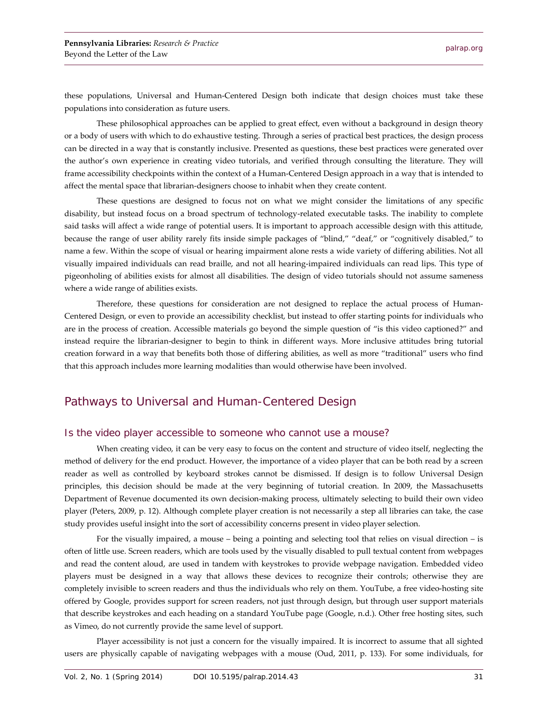these populations, Universal and Human-Centered Design both indicate that design choices must take these populations into consideration as future users.

These philosophical approaches can be applied to great effect, even without a background in design theory or a body of users with which to do exhaustive testing. Through a series of practical best practices, the design process can be directed in a way that is constantly inclusive. Presented as questions, these best practices were generated over the author's own experience in creating video tutorials, and verified through consulting the literature. They will frame accessibility checkpoints within the context of a Human-Centered Design approach in a way that is intended to affect the mental space that librarian-designers choose to inhabit when they create content.

These questions are designed to focus not on what we might consider the limitations of any specific disability, but instead focus on a broad spectrum of technology-related executable tasks. The inability to complete said tasks will affect a wide range of potential users. It is important to approach accessible design with this attitude, because the range of user ability rarely fits inside simple packages of "blind," "deaf," or "cognitively disabled," to name a few. Within the scope of visual or hearing impairment alone rests a wide variety of differing abilities. Not all visually impaired individuals can read braille, and not all hearing-impaired individuals can read lips. This type of pigeonholing of abilities exists for almost all disabilities. The design of video tutorials should not assume sameness where a wide range of abilities exists.

Therefore, these questions for consideration are not designed to replace the actual process of Human-Centered Design, or even to provide an accessibility checklist, but instead to offer starting points for individuals who are in the process of creation. Accessible materials go beyond the simple question of "is this video captioned?" and instead require the librarian-designer to begin to think in different ways. More inclusive attitudes bring tutorial creation forward in a way that benefits both those of differing abilities, as well as more "traditional" users who find that this approach includes more learning modalities than would otherwise have been involved.

## Pathways to Universal and Human-Centered Design

#### Is the video player accessible to someone who cannot use a mouse?

When creating video, it can be very easy to focus on the content and structure of video itself, neglecting the method of delivery for the end product. However, the importance of a video player that can be both read by a screen reader as well as controlled by keyboard strokes cannot be dismissed. If design is to follow Universal Design principles, this decision should be made at the very beginning of tutorial creation. In 2009, the Massachusetts Department of Revenue documented its own decision-making process, ultimately selecting to build their own video player (Peters, 2009, p. 12). Although complete player creation is not necessarily a step all libraries can take, the case study provides useful insight into the sort of accessibility concerns present in video player selection.

For the visually impaired, a mouse – being a pointing and selecting tool that relies on visual direction – is often of little use. Screen readers, which are tools used by the visually disabled to pull textual content from webpages and read the content aloud, are used in tandem with keystrokes to provide webpage navigation. Embedded video players must be designed in a way that allows these devices to recognize their controls; otherwise they are completely invisible to screen readers and thus the individuals who rely on them. YouTube, a free video-hosting site offered by Google, provides support for screen readers, not just through design, but through user support materials that describe keystrokes and each heading on a standard YouTube page (Google, n.d.). Other free hosting sites, such as Vimeo, do not currently provide the same level of support.

Player accessibility is not just a concern for the visually impaired. It is incorrect to assume that all sighted users are physically capable of navigating webpages with a mouse (Oud, 2011, p. 133). For some individuals, for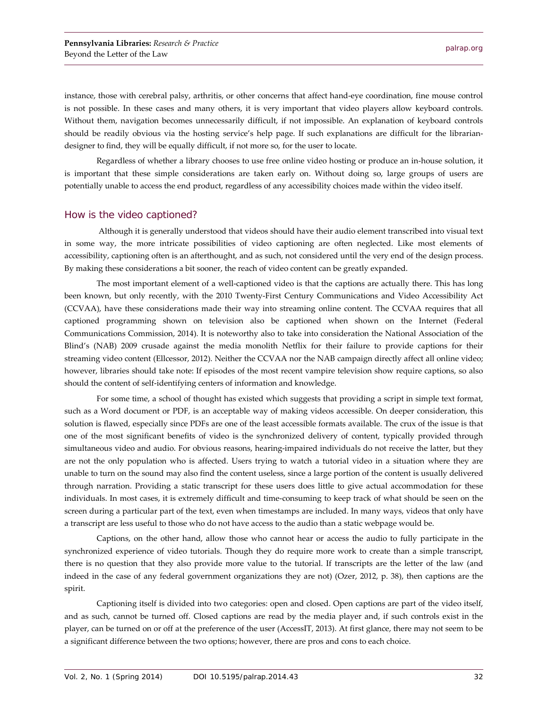instance, those with cerebral palsy, arthritis, or other concerns that affect hand-eye coordination, fine mouse control is not possible. In these cases and many others, it is very important that video players allow keyboard controls. Without them, navigation becomes unnecessarily difficult, if not impossible. An explanation of keyboard controls should be readily obvious via the hosting service's help page. If such explanations are difficult for the librariandesigner to find, they will be equally difficult, if not more so, for the user to locate.

Regardless of whether a library chooses to use free online video hosting or produce an in-house solution, it is important that these simple considerations are taken early on. Without doing so, large groups of users are potentially unable to access the end product, regardless of any accessibility choices made within the video itself.

#### How is the video captioned?

Although it is generally understood that videos should have their audio element transcribed into visual text in some way, the more intricate possibilities of video captioning are often neglected. Like most elements of accessibility, captioning often is an afterthought, and as such, not considered until the very end of the design process. By making these considerations a bit sooner, the reach of video content can be greatly expanded.

The most important element of a well-captioned video is that the captions are actually there. This has long been known, but only recently, with the 2010 Twenty-First Century Communications and Video Accessibility Act (CCVAA), have these considerations made their way into streaming online content. The CCVAA requires that all captioned programming shown on television also be captioned when shown on the Internet (Federal Communications Commission, 2014). It is noteworthy also to take into consideration the National Association of the Blind's (NAB) 2009 crusade against the media monolith Netflix for their failure to provide captions for their streaming video content (Ellcessor, 2012). Neither the CCVAA nor the NAB campaign directly affect all online video; however, libraries should take note: If episodes of the most recent vampire television show require captions, so also should the content of self-identifying centers of information and knowledge.

For some time, a school of thought has existed which suggests that providing a script in simple text format, such as a Word document or PDF, is an acceptable way of making videos accessible. On deeper consideration, this solution is flawed, especially since PDFs are one of the least accessible formats available. The crux of the issue is that one of the most significant benefits of video is the synchronized delivery of content, typically provided through simultaneous video and audio. For obvious reasons, hearing-impaired individuals do not receive the latter, but they are not the only population who is affected. Users trying to watch a tutorial video in a situation where they are unable to turn on the sound may also find the content useless, since a large portion of the content is usually delivered through narration. Providing a static transcript for these users does little to give actual accommodation for these individuals. In most cases, it is extremely difficult and time-consuming to keep track of what should be seen on the screen during a particular part of the text, even when timestamps are included. In many ways, videos that only have a transcript are less useful to those who do not have access to the audio than a static webpage would be.

Captions, on the other hand, allow those who cannot hear or access the audio to fully participate in the synchronized experience of video tutorials. Though they do require more work to create than a simple transcript, there is no question that they also provide more value to the tutorial. If transcripts are the letter of the law (and indeed in the case of any federal government organizations they are not) (Ozer, 2012, p. 38), then captions are the spirit.

Captioning itself is divided into two categories: open and closed. Open captions are part of the video itself, and as such, cannot be turned off. Closed captions are read by the media player and, if such controls exist in the player, can be turned on or off at the preference of the user (AccessIT, 2013). At first glance, there may not seem to be a significant difference between the two options; however, there are pros and cons to each choice.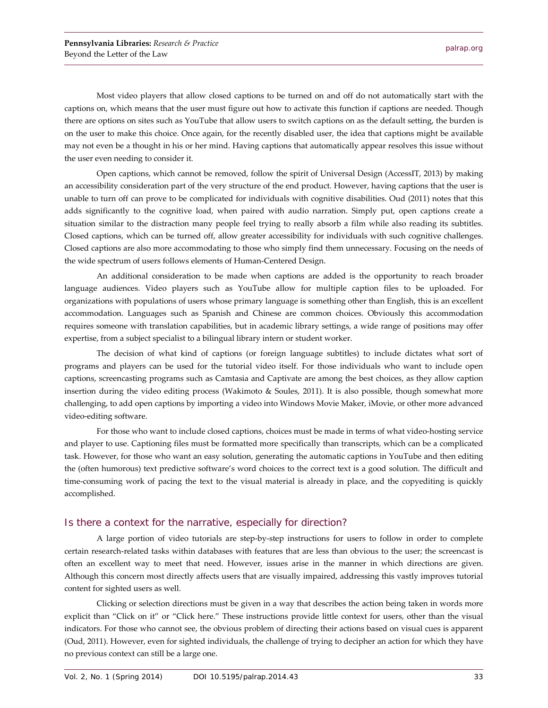Most video players that allow closed captions to be turned on and off do not automatically start with the captions on, which means that the user must figure out how to activate this function if captions are needed. Though there are options on sites such as YouTube that allow users to switch captions on as the default setting, the burden is on the user to make this choice. Once again, for the recently disabled user, the idea that captions might be available may not even be a thought in his or her mind. Having captions that automatically appear resolves this issue without the user even needing to consider it.

Open captions, which cannot be removed, follow the spirit of Universal Design (AccessIT, 2013) by making an accessibility consideration part of the very structure of the end product. However, having captions that the user is unable to turn off can prove to be complicated for individuals with cognitive disabilities. Oud (2011) notes that this adds significantly to the cognitive load, when paired with audio narration. Simply put, open captions create a situation similar to the distraction many people feel trying to really absorb a film while also reading its subtitles. Closed captions, which can be turned off, allow greater accessibility for individuals with such cognitive challenges. Closed captions are also more accommodating to those who simply find them unnecessary. Focusing on the needs of the wide spectrum of users follows elements of Human-Centered Design.

An additional consideration to be made when captions are added is the opportunity to reach broader language audiences. Video players such as YouTube allow for multiple caption files to be uploaded. For organizations with populations of users whose primary language is something other than English, this is an excellent accommodation. Languages such as Spanish and Chinese are common choices. Obviously this accommodation requires someone with translation capabilities, but in academic library settings, a wide range of positions may offer expertise, from a subject specialist to a bilingual library intern or student worker.

The decision of what kind of captions (or foreign language subtitles) to include dictates what sort of programs and players can be used for the tutorial video itself. For those individuals who want to include open captions, screencasting programs such as Camtasia and Captivate are among the best choices, as they allow caption insertion during the video editing process (Wakimoto & Soules, 2011). It is also possible, though somewhat more challenging, to add open captions by importing a video into Windows Movie Maker, iMovie, or other more advanced video-editing software.

For those who want to include closed captions, choices must be made in terms of what video-hosting service and player to use. Captioning files must be formatted more specifically than transcripts, which can be a complicated task. However, for those who want an easy solution, generating the automatic captions in YouTube and then editing the (often humorous) text predictive software's word choices to the correct text is a good solution. The difficult and time-consuming work of pacing the text to the visual material is already in place, and the copyediting is quickly accomplished.

#### Is there a context for the narrative, especially for direction?

A large portion of video tutorials are step-by-step instructions for users to follow in order to complete certain research-related tasks within databases with features that are less than obvious to the user; the screencast is often an excellent way to meet that need. However, issues arise in the manner in which directions are given. Although this concern most directly affects users that are visually impaired, addressing this vastly improves tutorial content for sighted users as well.

Clicking or selection directions must be given in a way that describes the action being taken in words more explicit than "Click on it" or "Click here." These instructions provide little context for users, other than the visual indicators. For those who cannot see, the obvious problem of directing their actions based on visual cues is apparent (Oud, 2011). However, even for sighted individuals, the challenge of trying to decipher an action for which they have no previous context can still be a large one.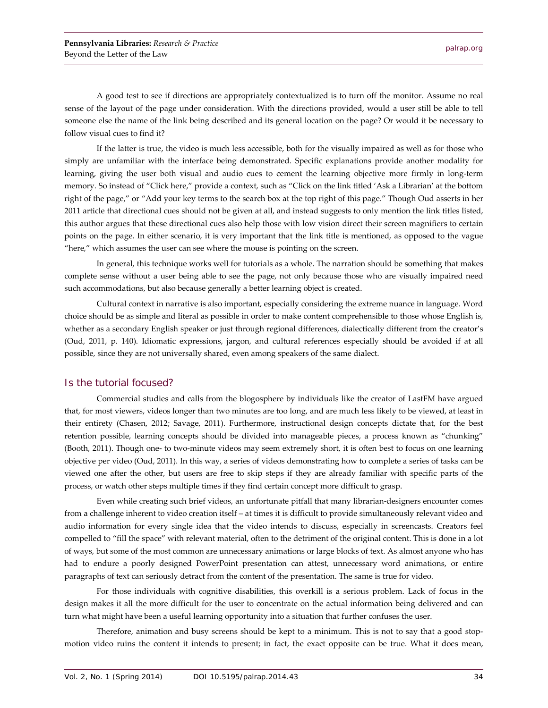A good test to see if directions are appropriately contextualized is to turn off the monitor. Assume no real sense of the layout of the page under consideration. With the directions provided, would a user still be able to tell someone else the name of the link being described and its general location on the page? Or would it be necessary to follow visual cues to find it?

If the latter is true, the video is much less accessible, both for the visually impaired as well as for those who simply are unfamiliar with the interface being demonstrated. Specific explanations provide another modality for learning, giving the user both visual and audio cues to cement the learning objective more firmly in long-term memory. So instead of "Click here," provide a context, such as "Click on the link titled 'Ask a Librarian' at the bottom right of the page," or "Add your key terms to the search box at the top right of this page." Though Oud asserts in her 2011 article that directional cues should not be given at all, and instead suggests to only mention the link titles listed, this author argues that these directional cues also help those with low vision direct their screen magnifiers to certain points on the page. In either scenario, it is very important that the link title is mentioned, as opposed to the vague "here," which assumes the user can see where the mouse is pointing on the screen.

In general, this technique works well for tutorials as a whole. The narration should be something that makes complete sense without a user being able to see the page, not only because those who are visually impaired need such accommodations, but also because generally a better learning object is created.

Cultural context in narrative is also important, especially considering the extreme nuance in language. Word choice should be as simple and literal as possible in order to make content comprehensible to those whose English is, whether as a secondary English speaker or just through regional differences, dialectically different from the creator's (Oud, 2011, p. 140). Idiomatic expressions, jargon, and cultural references especially should be avoided if at all possible, since they are not universally shared, even among speakers of the same dialect.

#### Is the tutorial focused?

Commercial studies and calls from the blogosphere by individuals like the creator of LastFM have argued that, for most viewers, videos longer than two minutes are too long, and are much less likely to be viewed, at least in their entirety (Chasen, 2012; Savage, 2011). Furthermore, instructional design concepts dictate that, for the best retention possible, learning concepts should be divided into manageable pieces, a process known as "chunking" (Booth, 2011). Though one- to two-minute videos may seem extremely short, it is often best to focus on one learning objective per video (Oud, 2011). In this way, a series of videos demonstrating how to complete a series of tasks can be viewed one after the other, but users are free to skip steps if they are already familiar with specific parts of the process, or watch other steps multiple times if they find certain concept more difficult to grasp.

Even while creating such brief videos, an unfortunate pitfall that many librarian-designers encounter comes from a challenge inherent to video creation itself – at times it is difficult to provide simultaneously relevant video and audio information for every single idea that the video intends to discuss, especially in screencasts. Creators feel compelled to "fill the space" with relevant material, often to the detriment of the original content. This is done in a lot of ways, but some of the most common are unnecessary animations or large blocks of text. As almost anyone who has had to endure a poorly designed PowerPoint presentation can attest, unnecessary word animations, or entire paragraphs of text can seriously detract from the content of the presentation. The same is true for video.

For those individuals with cognitive disabilities, this overkill is a serious problem. Lack of focus in the design makes it all the more difficult for the user to concentrate on the actual information being delivered and can turn what might have been a useful learning opportunity into a situation that further confuses the user.

Therefore, animation and busy screens should be kept to a minimum. This is not to say that a good stopmotion video ruins the content it intends to present; in fact, the exact opposite can be true. What it does mean,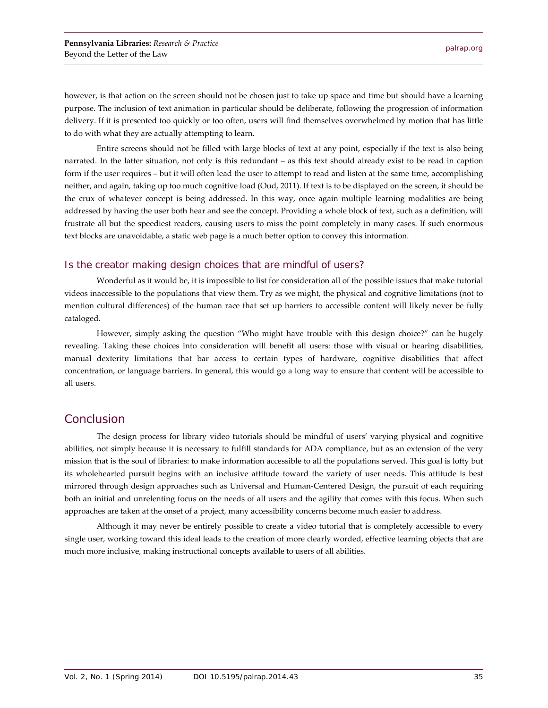however, is that action on the screen should not be chosen just to take up space and time but should have a learning purpose. The inclusion of text animation in particular should be deliberate, following the progression of information delivery. If it is presented too quickly or too often, users will find themselves overwhelmed by motion that has little to do with what they are actually attempting to learn.

Entire screens should not be filled with large blocks of text at any point, especially if the text is also being narrated. In the latter situation, not only is this redundant – as this text should already exist to be read in caption form if the user requires – but it will often lead the user to attempt to read and listen at the same time, accomplishing neither, and again, taking up too much cognitive load (Oud, 2011). If text is to be displayed on the screen, it should be the crux of whatever concept is being addressed. In this way, once again multiple learning modalities are being addressed by having the user both hear and see the concept. Providing a whole block of text, such as a definition, will frustrate all but the speediest readers, causing users to miss the point completely in many cases. If such enormous text blocks are unavoidable, a static web page is a much better option to convey this information.

#### Is the creator making design choices that are mindful of users?

Wonderful as it would be, it is impossible to list for consideration all of the possible issues that make tutorial videos inaccessible to the populations that view them. Try as we might, the physical and cognitive limitations (not to mention cultural differences) of the human race that set up barriers to accessible content will likely never be fully cataloged.

However, simply asking the question "Who might have trouble with this design choice?" can be hugely revealing. Taking these choices into consideration will benefit all users: those with visual or hearing disabilities, manual dexterity limitations that bar access to certain types of hardware, cognitive disabilities that affect concentration, or language barriers. In general, this would go a long way to ensure that content will be accessible to all users.

### Conclusion

The design process for library video tutorials should be mindful of users' varying physical and cognitive abilities, not simply because it is necessary to fulfill standards for ADA compliance, but as an extension of the very mission that is the soul of libraries: to make information accessible to all the populations served. This goal is lofty but its wholehearted pursuit begins with an inclusive attitude toward the variety of user needs. This attitude is best mirrored through design approaches such as Universal and Human-Centered Design, the pursuit of each requiring both an initial and unrelenting focus on the needs of all users and the agility that comes with this focus. When such approaches are taken at the onset of a project, many accessibility concerns become much easier to address.

Although it may never be entirely possible to create a video tutorial that is completely accessible to every single user, working toward this ideal leads to the creation of more clearly worded, effective learning objects that are much more inclusive, making instructional concepts available to users of all abilities.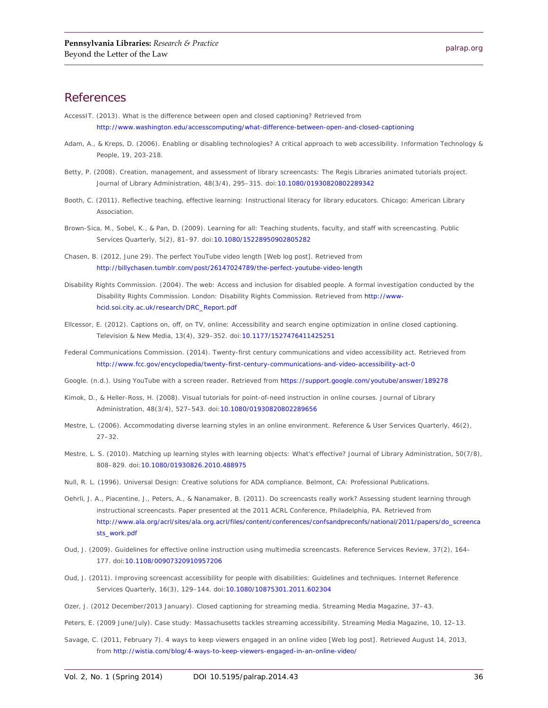## **References**

- AccessIT. (2013). *What is the difference between open and closed captioning?* Retrieved from <http://www.washington.edu/accesscomputing/what-difference-between-open-and-closed-captioning>
- Adam, A., & Kreps, D. (2006). Enabling or disabling technologies? A critical approach to web accessibility. *Information Technology & People, 19,* 203-218.
- Betty, P. (2008). Creation, management, and assessment of library screencasts: The Regis Libraries animated tutorials project. *Journal of Library Administration*, *48*(3/4), 295–315. doi[:10.1080/01930820802289342](http://dx.doi.org/10.1080/01930820802289342)
- Booth, C. (2011). *Reflective teaching, effective learning: Instructional literacy for library educators.* Chicago: American Library Association.
- Brown-Sica, M., Sobel, K., & Pan, D. (2009). Learning for all: Teaching students, faculty, and staff with screencasting. *Public Services Quarterly*, *5*(2), 81–97. doi[:10.1080/15228950902805282](http://dx.doi.org/10.1080/15228950902805282)
- Chasen, B. (2012, June 29). The perfect YouTube video length [Web log post]. Retrieved from <http://billychasen.tumblr.com/post/26147024789/the-perfect-youtube-video-length>
- Disability Rights Commission. (2004). *The web: Access and inclusion for disabled people. A formal investigation conducted by the Disability Rights Commission.* London: Disability Rights Commission. Retrieved from [http://www](http://www-hcid.soi.city.ac.uk/research/DRC_Report.pdf)[hcid.soi.city.ac.uk/research/DRC\\_Report.pdf](http://www-hcid.soi.city.ac.uk/research/DRC_Report.pdf)
- Ellcessor, E. (2012). Captions on, off, on TV, online: Accessibility and search engine optimization in online closed captioning. *Television & New Media, 13*(4), 329–352. doi[:10.1177/1527476411425251](http://dx.doi.org/10.1177/1527476411425251)
- Federal Communications Commission. (2014). *Twenty-first century communications and video accessibility act*. Retrieved from <http://www.fcc.gov/encyclopedia/twenty-first-century-communications-and-video-accessibility-act-0>
- Google. (n.d.). *Using YouTube with a screen reader*. Retrieved fro[m https://support.google.com/youtube/answer/189278](https://support.google.com/youtube/answer/189278)
- Kimok, D., & Heller-Ross, H. (2008). Visual tutorials for point-of-need instruction in online courses. *Journal of Library Administration*, *48*(3/4), 527–543. doi[:10.1080/01930820802289656](http://dx.doi.org/10.1080/01930820802289656)
- Mestre, L. (2006). Accommodating diverse learning styles in an online environment. *Reference & User Services Quarterly*, *46*(2), 27–32.
- Mestre, L. S. (2010). Matching up learning styles with learning objects: What's effective? *Journal of Library Administration*, *50*(7/8), 808–829. doi[:10.1080/01930826.2010.488975](http://dx.doi.org/10.1080/01930826.2010.488975)
- Null, R. L. (1996). *Universal Design: Creative solutions for ADA compliance*. Belmont, CA: Professional Publications.
- Oehrli, J. A., Piacentine, J., Peters, A., & Nanamaker, B. (2011). *Do screencasts really work? Assessing student learning through instructional screencasts*. Paper presented at the 2011 ACRL Conference, Philadelphia, PA. Retrieved from [http://www.ala.org/acrl/sites/ala.org.acrl/files/content/conferences/confsandpreconfs/national/2011/papers/do\\_screenca](http://www.ala.org/acrl/sites/ala.org.acrl/files/content/conferences/confsandpreconfs/national/2011/papers/do_screencasts_work.pdf) [sts\\_work.pdf](http://www.ala.org/acrl/sites/ala.org.acrl/files/content/conferences/confsandpreconfs/national/2011/papers/do_screencasts_work.pdf)
- Oud, J. (2009). Guidelines for effective online instruction using multimedia screencasts. *Reference Services Review*, *37*(2), 164– 177. doi[:10.1108/00907320910957206](http://dx.doi.org/10.1108/00907320910957206)
- Oud, J. (2011). Improving screencast accessibility for people with disabilities: Guidelines and techniques. *Internet Reference Services Quarterly, 16*(3), 129–144. doi[:10.1080/10875301.2011.602304](http://dx.doi.org/10.1080/10875301.2011.602304)
- Ozer, J. (2012 December/2013 January). Closed captioning for streaming media. *Streaming Media Magazine,* 37–43.
- Peters, E. (2009 June/July). Case study: Massachusetts tackles streaming accessibility. *Streaming Media Magazine*, 10, 12–13.
- Savage, C. (2011, February 7). 4 ways to keep viewers engaged in an online video [Web log post]. Retrieved August 14, 2013, from<http://wistia.com/blog/4-ways-to-keep-viewers-engaged-in-an-online-video/>